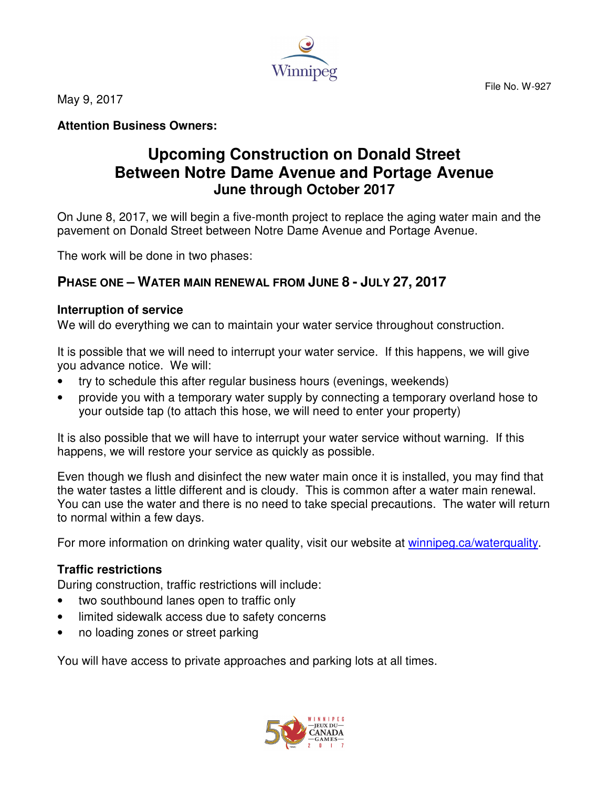

May 9, 2017

### **Attention Business Owners:**

# **Upcoming Construction on Donald Street Between Notre Dame Avenue and Portage Avenue June through October 2017**

On June 8, 2017, we will begin a five-month project to replace the aging water main and the pavement on Donald Street between Notre Dame Avenue and Portage Avenue.

The work will be done in two phases:

## **PHASE ONE – WATER MAIN RENEWAL FROM JUNE 8 - JULY 27, 2017**

#### **Interruption of service**

We will do everything we can to maintain your water service throughout construction.

It is possible that we will need to interrupt your water service. If this happens, we will give you advance notice. We will:

- try to schedule this after regular business hours (evenings, weekends)
- provide you with a temporary water supply by connecting a temporary overland hose to your outside tap (to attach this hose, we will need to enter your property)

It is also possible that we will have to interrupt your water service without warning. If this happens, we will restore your service as quickly as possible.

Even though we flush and disinfect the new water main once it is installed, you may find that the water tastes a little different and is cloudy. This is common after a water main renewal. You can use the water and there is no need to take special precautions. The water will return to normal within a few days.

For more information on drinking water quality, visit our website at winnipeg.ca/waterquality.

#### **Traffic restrictions**

During construction, traffic restrictions will include:

- two southbound lanes open to traffic only
- limited sidewalk access due to safety concerns
- no loading zones or street parking

You will have access to private approaches and parking lots at all times.